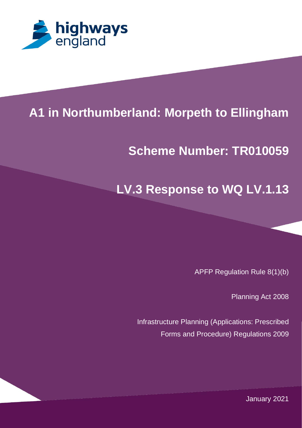

# 1 **A1 in Northumberland: Morpeth to Ellingham**

### **PROJECT TITLE Scheme Number: TR010059**

## **LV.3 Response to WQ LV.1.13**

APFP Regulation Rule 8(1)(b)

Planning Act 2008

Infrastructure Planning (Applications: Prescribed Forms and Procedure) Regulations 2009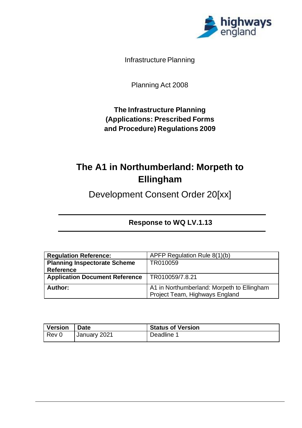

Infrastructure Planning

Planning Act 2008

**The Infrastructure Planning (Applications: Prescribed Forms and Procedure) Regulations 2009**

## **The A1 in Northumberland: Morpeth to Ellingham**

Development Consent Order 20[xx]

| <b>Response to WQ LV.1.13</b> |  |  |
|-------------------------------|--|--|
|-------------------------------|--|--|

| <b>Regulation Reference:</b>          | APFP Regulation Rule 8(1)(b)               |
|---------------------------------------|--------------------------------------------|
| <b>Planning Inspectorate Scheme</b>   | TR010059                                   |
| <b>Reference</b>                      |                                            |
| <b>Application Document Reference</b> | TR010059/7.8.21                            |
|                                       |                                            |
| Author:                               | A1 in Northumberland: Morpeth to Ellingham |
|                                       | Project Team, Highways England             |

| <b>Version</b> | <b>Date</b>    | <b>Status of Version</b> |
|----------------|----------------|--------------------------|
| Rev 0          | ' January 2021 | Deadline 1               |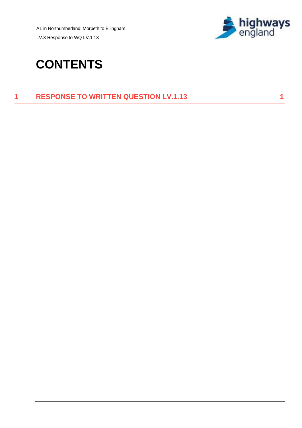A1 in Northumberland: Morpeth to Ellingham

LV.3 Response to WQ LV.1.13



## **CONTENTS**

#### **1 RESPONSE TO WRITTEN QUESTION LV.1.13 1**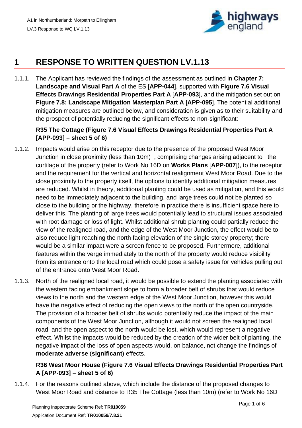

### **1 RESPONSE TO WRITTEN QUESTION LV.1.13**

1.1.1. The Applicant has reviewed the findings of the assessment as outlined in **Chapter 7: Landscape and Visual Part A** of the ES [**APP-044**], supported with F**igure 7.6 Visual Effects Drawings Residential Properties Part A** [**APP-093**], and the mitigation set out on **Figure 7.8: Landscape Mitigation Masterplan Part A** [**APP-095**]. The potential additional mitigation measures are outlined below, and consideration is given as to their suitability and the prospect of potentially reducing the significant effects to non-significant:

#### **R35 The Cottage (Figure 7.6 Visual Effects Drawings Residential Properties Part A [APP-093] – sheet 5 of 6)**

- 1.1.2. Impacts would arise on this receptor due to the presence of the proposed West Moor Junction in close proximity (less than 10m) , comprising changes arising adjacent to the curtilage of the property (refer to Work No 16D on **Works Plans** [**APP-007**]), to the receptor and the requirement for the vertical and horizontal realignment West Moor Road. Due to the close proximity to the property itself, the options to identify additional mitigation measures are reduced. Whilst in theory, additional planting could be used as mitigation, and this would need to be immediately adjacent to the building, and large trees could not be planted so close to the building or the highway, therefore in practice there is insufficient space here to deliver this. The planting of large trees would potentially lead to structural issues associated with root damage or loss of light. Whilst additional shrub planting could partially reduce the view of the realigned road, and the edge of the West Moor Junction, the effect would be to also reduce light reaching the north facing elevation of the single storey property; there would be a similar impact were a screen fence to be proposed. Furthermore, additional features within the verge immediately to the north of the property would reduce visibility from its entrance onto the local road which could pose a safety issue for vehicles pulling out of the entrance onto West Moor Road.
- 1.1.3. North of the realigned local road, it would be possible to extend the planting associated with the western facing embankment slope to form a broader belt of shrubs that would reduce views to the north and the western edge of the West Moor Junction, however this would have the negative effect of reducing the open views to the north of the open countryside. The provision of a broader belt of shrubs would potentially reduce the impact of the main components of the West Moor Junction, although it would not screen the realigned local road, and the open aspect to the north would be lost, which would represent a negative effect. Whilst the impacts would be reduced by the creation of the wider belt of planting, the negative impact of the loss of open aspects would, on balance, not change the findings of **moderate adverse** (**significant**) effects.

#### **R36 West Moor House (Figure 7.6 Visual Effects Drawings Residential Properties Part A [APP-093] – sheet 5 of 6)**

1.1.4. For the reasons outlined above, which include the distance of the proposed changes to West Moor Road and distance to R35 The Cottage (less than 10m) (refer to Work No 16D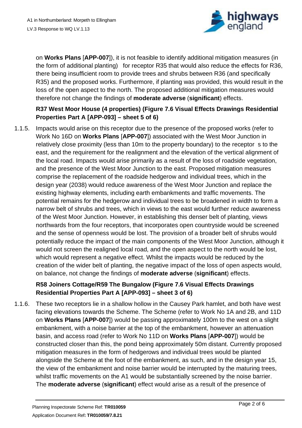

on **Works Plans** [**APP-007**]), it is not feasible to identify additional mitigation measures (in the form of additional planting) for receptor R35 that would also reduce the effects for R36, there being insufficient room to provide trees and shrubs between R36 (and specifically R35) and the proposed works. Furthermore, if planting was provided, this would result in the loss of the open aspect to the north. The proposed additional mitigation measures would therefore not change the findings of **moderate adverse** (**significant**) effects.

#### **R37 West Moor House (4 properties) (Figure 7.6 Visual Effects Drawings Residential Properties Part A [APP-093] – sheet 5 of 6)**

1.1.5. Impacts would arise on this receptor due to the presence of the proposed works (refer to Work No 16D on **Works Plans** [**APP-007**]) associated with the West Moor Junction in relatively close proximity (less than 10m to the property boundary) to the receptor s to the east, and the requirement for the realignment and the elevation of the vertical alignment of the local road. Impacts would arise primarily as a result of the loss of roadside vegetation, and the presence of the West Moor Junction to the east. Proposed mitigation measures comprise the replacement of the roadside hedgerow and individual trees, which in the design year (2038) would reduce awareness of the West Moor Junction and replace the existing highway elements, including earth embankments and traffic movements. The potential remains for the hedgerow and individual trees to be broadened in width to form a narrow belt of shrubs and trees, which in views to the east would further reduce awareness of the West Moor Junction. However, in establishing this denser belt of planting, views northwards from the four receptors, that incorporates open countryside would be screened and the sense of openness would be lost. The provision of a broader belt of shrubs would potentially reduce the impact of the main components of the West Moor Junction, although it would not screen the realigned local road, and the open aspect to the north would be lost, which would represent a negative effect. Whilst the impacts would be reduced by the creation of the wider belt of planting, the negative impact of the loss of open aspects would, on balance, not change the findings of **moderate adverse** (**significant**) effects.

#### **R58 Joiners Cottage/R59 The Bungalow (Figure 7.6 Visual Effects Drawings Residential Properties Part A [APP-093] – sheet 3 of 6)**

1.1.6. These two receptors lie in a shallow hollow in the Causey Park hamlet, and both have west facing elevations towards the Scheme. The Scheme (refer to Work No 1A and 2B, and 11D on **Works Plans** [**APP-007**]) would be passing approximately 100m to the west on a slight embankment, with a noise barrier at the top of the embankment, however an attenuation basin, and access road (refer to Work No 11D on **Works Plans** [**APP-007**]) would be constructed closer than this, the pond being approximately 50m distant. Currently proposed mitigation measures in the form of hedgerows and individual trees would be planted alongside the Scheme at the foot of the embankment, as such, and in the design year 15, the view of the embankment and noise barrier would be interrupted by the maturing trees, whilst traffic movements on the A1 would be substantially screened by the noise barrier. The **moderate adverse** (**significant**) effect would arise as a result of the presence of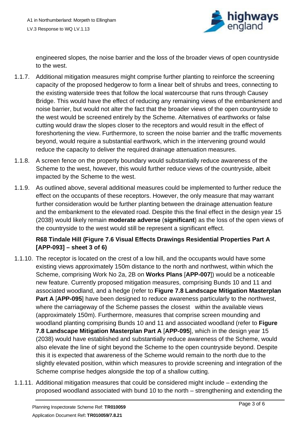

engineered slopes, the noise barrier and the loss of the broader views of open countryside to the west.

- 1.1.7. Additional mitigation measures might comprise further planting to reinforce the screening capacity of the proposed hedgerow to form a linear belt of shrubs and trees, connecting to the existing waterside trees that follow the local watercourse that runs through Causey Bridge. This would have the effect of reducing any remaining views of the embankment and noise barrier, but would not alter the fact that the broader views of the open countryside to the west would be screened entirely by the Scheme. Alternatives of earthworks or false cutting would draw the slopes closer to the receptors and would result in the effect of foreshortening the view. Furthermore, to screen the noise barrier and the traffic movements beyond, would require a substantial earthwork, which in the intervening ground would reduce the capacity to deliver the required drainage attenuation measures.
- 1.1.8. A screen fence on the property boundary would substantially reduce awareness of the Scheme to the west, however, this would further reduce views of the countryside, albeit impacted by the Scheme to the west.
- 1.1.9. As outlined above, several additional measures could be implemented to further reduce the effect on the occupants of these receptors. However, the only measure that may warrant further consideration would be further planting between the drainage attenuation feature and the embankment to the elevated road. Despite this the final effect in the design year 15 (2038) would likely remain **moderate adverse** (**significant**) as the loss of the open views of the countryside to the west would still be represent a significant effect.

#### **R68 Tindale Hill (Figure 7.6 Visual Effects Drawings Residential Properties Part A [APP-093] – sheet 3 of 6)**

- 1.1.10. The receptor is located on the crest of a low hill, and the occupants would have some existing views approximately 150m distance to the north and northwest, within which the Scheme, comprising Work No 2a, 2B on **Works Plans** [**APP-007**]) would be a noticeable new feature. Currently proposed mitigation measures, comprising Bunds 10 and 11 and associated woodland, and a hedge (refer to **Figure 7.8 Landscape Mitigation Masterplan Part A [APP-095]** have been designed to reduce awareness particularly to the northwest, where the carriageway of the Scheme passes the closest within the available views (approximately 150m). Furthermore, measures that comprise screen mounding and woodland planting comprising Bunds 10 and 11 and associated woodland (refer to **Figure 7.8 Landscape Mitigation Masterplan Part A** [**APP-095**], which in the design year 15 (2038) would have established and substantially reduce awareness of the Scheme, would also elevate the line of sight beyond the Scheme to the open countryside beyond. Despite this it is expected that awareness of the Scheme would remain to the north due to the slightly elevated position, within which measures to provide screening and integration of the Scheme comprise hedges alongside the top of a shallow cutting.
- 1.1.11. Additional mitigation measures that could be considered might include extending the proposed woodland associated with bund 10 to the north – strengthening and extending the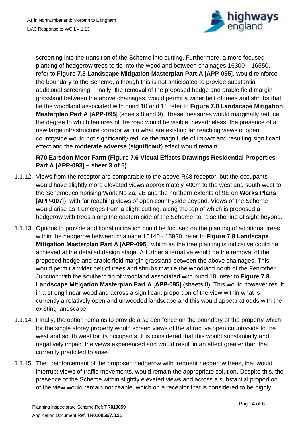

screening into the transition of the Scheme into cutting. Furthermore, a more focused planting of hedgerow trees to tie into the woodland between chainages 16300 – 16550, refer to **Figure 7.8 Landscape Mitigation Masterplan Part A** [**APP-095**], would reinforce the boundary to the Scheme, although this is not anticipated to provide substantial additional screening. Finally, the removal of the proposed hedge and arable field margin grassland between the above chainages, would permit a wider belt of trees and shrubs that tie the woodland associated with bund 10 and 11 refer to **Figure 7.8 Landscape Mitigation Masterplan Part A** [**APP-095**] (sheets 8 and 9). These measures would marginally reduce the degree to which features of the road would be visible, nevertheless, the presence of a new large infrastructure corridor within what are existing far reaching views of open countryside would not significantly reduce the magnitude of impact and resulting significant effect and the **moderate adverse** (**significant**) effect would remain.

#### **R70 Earsdon Moor Farm (Figure 7.6 Visual Effects Drawings Residential Properties Part A [APP-093] – sheet 3 of 6)**

- 1.1.12. Views from the receptor are comparable to the above R68 receptor, but the occupants would have slightly more elevated views approximately 400m to the west and south west to the Scheme, comprising Work No 2a, 2B and the northern extents of 9E on **Works Plans** [**APP-007**]), with far reaching views of open countryside beyond. Views of the Scheme would arise as it emerges from a slight cutting, along the top of which is proposed a hedgerow with trees along the eastern side of the Scheme, to raise the line of sight beyond.
- 1.1.13. Options to provide additional mitigation could be focused on the planting of additional trees within the hedgerow between chainage 15140 - 15920, refer to **Figure 7.8 Landscape Mitigation Masterplan Part A** [**APP-095**], which as the tree planting is indicative could be achieved at the detailed design stage. A further alternative would be the removal of the proposed hedge and arable field margin grassland between the above chainages. This would permit a wider belt of trees and shrubs that tie the woodland north of the Fenrother Junction with the southern tip of woodland associated with bund 10, refer to **Figure 7.8 Landscape Mitigation Masterplan Part A** [**APP-095**] (sheets 8). This would however result in a strong linear woodland across a significant proportion of the view within what is currently a relatively open and unwooded landscape and this would appear at odds with the existing landscape.
- 1.1.14. Finally, the option remains to provide a screen fence on the boundary of the property which for the single storey property would screen views of the attractive open countryside to the west and south west for its occupants. It is considered that this would substantially and negatively impact the views experienced and would result in an effect greater than that currently predicted to arise.
- 1.1.15. The reinforcement of the proposed hedgerow with frequent hedgerow trees, that would interrupt views of traffic movements, would remain the appropriate solution. Despite this, the presence of the Scheme within slightly elevated views and across a substantial proportion of the view would remain noticeable, which on a receptor that is considered to be highly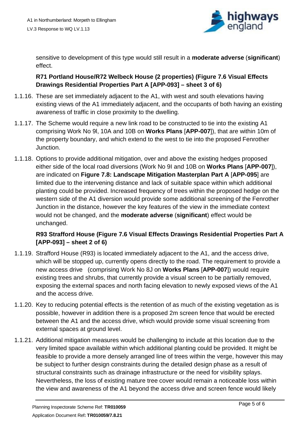

sensitive to development of this type would still result in a **moderate adverse** (**significant**) effect.

#### **R71 Portland House/R72 Welbeck House (2 properties) (Figure 7.6 Visual Effects Drawings Residential Properties Part A [APP-093] – sheet 3 of 6)**

- 1.1.16. These are set immediately adjacent to the A1, with west and south elevations having existing views of the A1 immediately adjacent, and the occupants of both having an existing awareness of traffic in close proximity to the dwelling.
- 1.1.17. The Scheme would require a new link road to be constructed to tie into the existing A1 comprising Work No 9l, 10A and 10B on **Works Plans** [**APP-007**]), that are within 10m of the property boundary, and which extend to the west to tie into the proposed Fenrother Junction.
- 1.1.18. Options to provide additional mitigation, over and above the existing hedges proposed either side of the local road diversions (Work No 9I and 10B on **Works Plans** [**APP-007**]), are indicated on **Figure 7.8: Landscape Mitigation Masterplan Part A** [**APP-095**] are limited due to the intervening distance and lack of suitable space within which additional planting could be provided. Increased frequency of trees within the proposed hedge on the western side of the A1 diversion would provide some additional screening of the Fenrother Junction in the distance, however the key features of the view in the immediate context would not be changed, and the **moderate adverse** (**significant**) effect would be unchanged.

#### **R93 Strafford House (Figure 7.6 Visual Effects Drawings Residential Properties Part A [APP-093] – sheet 2 of 6)**

- 1.1.19. Strafford House (R93) is located immediately adjacent to the A1, and the access drive, which will be stopped up, currently opens directly to the road. The requirement to provide a new access drive (comprising Work No 8J on **Works Plans** [**APP-007**]) would require existing trees and shrubs, that currently provide a visual screen to be partially removed, exposing the external spaces and north facing elevation to newly exposed views of the A1 and the access drive.
- 1.1.20. Key to reducing potential effects is the retention of as much of the existing vegetation as is possible, however in addition there is a proposed 2m screen fence that would be erected between the A1 and the access drive, which would provide some visual screening from external spaces at ground level.
- 1.1.21. Additional mitigation measures would be challenging to include at this location due to the very limited space available within which additional planting could be provided. It might be feasible to provide a more densely arranged line of trees within the verge, however this may be subject to further design constraints during the detailed design phase as a result of structural constraints such as drainage infrastructure or the need for visibility splays. Nevertheless, the loss of existing mature tree cover would remain a noticeable loss within the view and awareness of the A1 beyond the access drive and screen fence would likely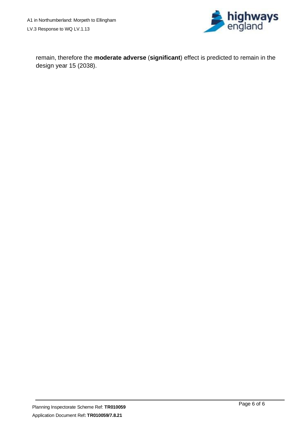

remain, therefore the **moderate adverse** (**significant**) effect is predicted to remain in the design year 15 (2038).